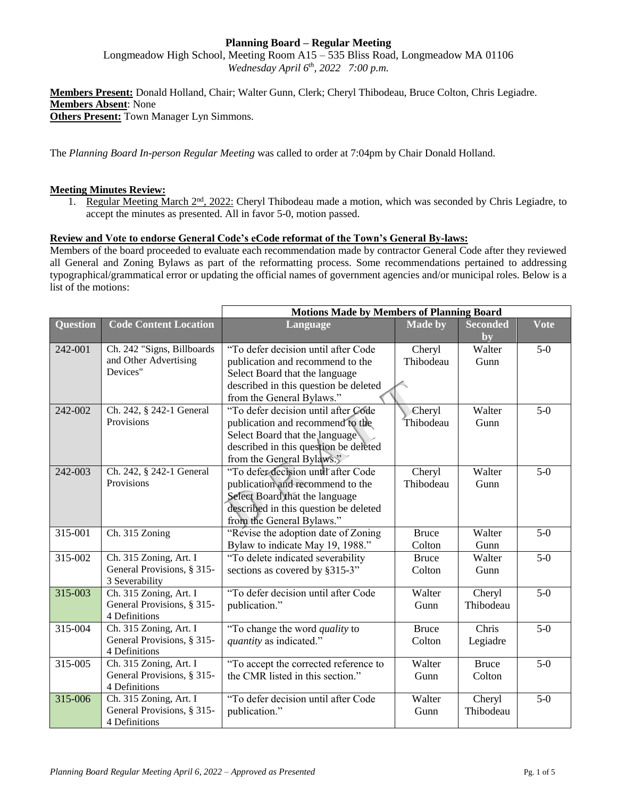## **Planning Board – Regular Meeting**

Longmeadow High School, Meeting Room A15 – 535 Bliss Road, Longmeadow MA 01106 *Wednesday April 6th, 2022 7:00 p.m.*

**Members Present:** Donald Holland, Chair; Walter Gunn, Clerk; Cheryl Thibodeau, Bruce Colton, Chris Legiadre. **Members Absent**: None **Others Present:** Town Manager Lyn Simmons.

The *Planning Board In-person Regular Meeting* was called to order at 7:04pm by Chair Donald Holland.

## **Meeting Minutes Review:**

1. Regular Meeting March 2<sup>nd</sup>, 2022: Cheryl Thibodeau made a motion, which was seconded by Chris Legiadre, to accept the minutes as presented. All in favor 5-0, motion passed.

## **Review and Vote to endorse General Code's eCode reformat of the Town's General By-laws:**

Members of the board proceeded to evaluate each recommendation made by contractor General Code after they reviewed all General and Zoning Bylaws as part of the reformatting process. Some recommendations pertained to addressing typographical/grammatical error or updating the official names of government agencies and/or municipal roles. Below is a list of the motions:

|                 |                                                                        | <b>Motions Made by Members of Planning Board</b>                                                                                                                                |                        |                        |             |
|-----------------|------------------------------------------------------------------------|---------------------------------------------------------------------------------------------------------------------------------------------------------------------------------|------------------------|------------------------|-------------|
| <b>Question</b> | <b>Code Content Location</b>                                           | Language                                                                                                                                                                        | <b>Made by</b>         | <b>Seconded</b><br>by  | <b>Vote</b> |
| 242-001         | Ch. 242 "Signs, Billboards<br>and Other Advertising<br>Devices"        | "To defer decision until after Code<br>publication and recommend to the<br>Select Board that the language<br>described in this question be deleted<br>from the General Bylaws." | Cheryl<br>Thibodeau    | Walter<br>Gunn         | $5-0$       |
| 242-002         | Ch. 242, § 242-1 General<br>Provisions                                 | "To defer decision until after Code<br>publication and recommend to the<br>Select Board that the language<br>described in this question be deleted<br>from the General Bylaws." | Cheryl<br>Thibodeau    | Walter<br>Gunn         | $5-0$       |
| 242-003         | Ch. 242, § 242-1 General<br>Provisions                                 | "To defer decision until after Code<br>publication and recommend to the<br>Select Board that the language<br>described in this question be deleted<br>from the General Bylaws." | Cheryl<br>Thibodeau    | Walter<br>Gunn         | $5-0$       |
| 315-001         | Ch. 315 Zoning                                                         | "Revise the adoption date of Zoning"<br>Bylaw to indicate May 19, 1988."                                                                                                        | <b>Bruce</b><br>Colton | Walter<br>Gunn         | $5-0$       |
| 315-002         | Ch. 315 Zoning, Art. I<br>General Provisions, § 315-<br>3 Severability | "To delete indicated severability<br>sections as covered by §315-3"                                                                                                             | <b>Bruce</b><br>Colton | Walter<br>Gunn         | $5-0$       |
| 315-003         | Ch. 315 Zoning, Art. I<br>General Provisions, § 315-<br>4 Definitions  | "To defer decision until after Code<br>publication."                                                                                                                            | Walter<br>Gunn         | Cheryl<br>Thibodeau    | $5-0$       |
| $315 - 004$     | Ch. 315 Zoning, Art. I<br>General Provisions, § 315-<br>4 Definitions  | "To change the word <i>quality</i> to<br>quantity as indicated."                                                                                                                | <b>Bruce</b><br>Colton | Chris<br>Legiadre      | $5-0$       |
| 315-005         | Ch. 315 Zoning, Art. I<br>General Provisions, § 315-<br>4 Definitions  | "To accept the corrected reference to<br>the CMR listed in this section."                                                                                                       | Walter<br>Gunn         | <b>Bruce</b><br>Colton | $5-0$       |
| 315-006         | Ch. 315 Zoning, Art. I<br>General Provisions, § 315-<br>4 Definitions  | "To defer decision until after Code<br>publication."                                                                                                                            | Walter<br>Gunn         | Cheryl<br>Thibodeau    | $5-0$       |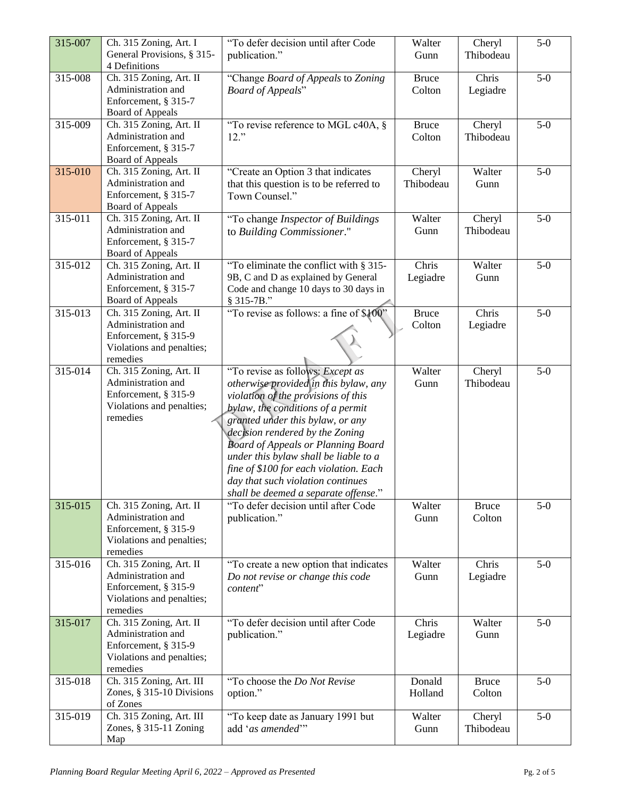| 315-007     | Ch. 315 Zoning, Art. I<br>General Provisions, § 315-                                                           | "To defer decision until after Code<br>publication."                                                                                                                                                                                                                                                                                                                                                                                      | Walter<br>Gunn         | Cheryl<br>Thibodeau    | $5-0$ |
|-------------|----------------------------------------------------------------------------------------------------------------|-------------------------------------------------------------------------------------------------------------------------------------------------------------------------------------------------------------------------------------------------------------------------------------------------------------------------------------------------------------------------------------------------------------------------------------------|------------------------|------------------------|-------|
| $315 - 008$ | 4 Definitions<br>Ch. 315 Zoning, Art. II<br>Administration and                                                 | "Change Board of Appeals to Zoning                                                                                                                                                                                                                                                                                                                                                                                                        | <b>Bruce</b><br>Colton | Chris<br>Legiadre      | $5-0$ |
|             | Enforcement, § 315-7<br><b>Board of Appeals</b>                                                                | <b>Board of Appeals"</b>                                                                                                                                                                                                                                                                                                                                                                                                                  |                        |                        |       |
| 315-009     | Ch. 315 Zoning, Art. II<br>Administration and<br>Enforcement, § 315-7<br><b>Board of Appeals</b>               | "To revise reference to MGL $c40A$ , §<br>$12.$ "                                                                                                                                                                                                                                                                                                                                                                                         | <b>Bruce</b><br>Colton | Cheryl<br>Thibodeau    | $5-0$ |
| 315-010     | Ch. 315 Zoning, Art. II<br>Administration and<br>Enforcement, § 315-7<br><b>Board of Appeals</b>               | "Create an Option 3 that indicates<br>that this question is to be referred to<br>Town Counsel."                                                                                                                                                                                                                                                                                                                                           | Cheryl<br>Thibodeau    | Walter<br>Gunn         | $5-0$ |
| 315-011     | Ch. 315 Zoning, Art. II<br>Administration and<br>Enforcement, § 315-7<br><b>Board of Appeals</b>               | "To change Inspector of Buildings<br>to Building Commissioner."                                                                                                                                                                                                                                                                                                                                                                           | Walter<br>Gunn         | Cheryl<br>Thibodeau    | $5-0$ |
| 315-012     | Ch. 315 Zoning, Art. II<br>Administration and<br>Enforcement, § 315-7<br><b>Board of Appeals</b>               | "To eliminate the conflict with § 315-<br>9B, C and D as explained by General<br>Code and change 10 days to 30 days in<br>§ 315-7B."                                                                                                                                                                                                                                                                                                      | Chris<br>Legiadre      | Walter<br>Gunn         | $5-0$ |
| 315-013     | Ch. 315 Zoning, Art. II<br>Administration and<br>Enforcement, § 315-9<br>Violations and penalties;<br>remedies | "To revise as follows: a fine of \$100"                                                                                                                                                                                                                                                                                                                                                                                                   | <b>Bruce</b><br>Colton | Chris<br>Legiadre      | $5-0$ |
| 315-014     | Ch. 315 Zoning, Art. II<br>Administration and<br>Enforcement, § 315-9<br>Violations and penalties;<br>remedies | "To revise as follows: Except as<br>otherwise provided in this bylaw, any<br>violation of the provisions of this<br>bylaw, the conditions of a permit<br>granted under this bylaw, or any<br>decision rendered by the Zoning<br><b>Board of Appeals or Planning Board</b><br>under this bylaw shall be liable to a<br>fine of \$100 for each violation. Each<br>day that such violation continues<br>shall be deemed a separate offense." | Walter<br>Gunn         | Cheryl<br>Thibodeau    | $5-0$ |
| 315-015     | Ch. 315 Zoning, Art. II<br>Administration and<br>Enforcement, § 315-9<br>Violations and penalties;<br>remedies | "To defer decision until after Code<br>publication."                                                                                                                                                                                                                                                                                                                                                                                      | Walter<br>Gunn         | <b>Bruce</b><br>Colton | $5-0$ |
| 315-016     | Ch. 315 Zoning, Art. II<br>Administration and<br>Enforcement, § 315-9<br>Violations and penalties;<br>remedies | "To create a new option that indicates<br>Do not revise or change this code<br>content"                                                                                                                                                                                                                                                                                                                                                   | Walter<br>Gunn         | Chris<br>Legiadre      | $5-0$ |
| 315-017     | Ch. 315 Zoning, Art. II<br>Administration and<br>Enforcement, § 315-9<br>Violations and penalties;<br>remedies | "To defer decision until after Code<br>publication."                                                                                                                                                                                                                                                                                                                                                                                      | Chris<br>Legiadre      | Walter<br>Gunn         | $5-0$ |
| 315-018     | Ch. 315 Zoning, Art. III<br>Zones, § 315-10 Divisions<br>of Zones                                              | "To choose the Do Not Revise<br>option."                                                                                                                                                                                                                                                                                                                                                                                                  | Donald<br>Holland      | <b>Bruce</b><br>Colton | $5-0$ |
| 315-019     | Ch. 315 Zoning, Art. III<br>Zones, $§$ 315-11 Zoning<br>Map                                                    | "To keep date as January 1991 but<br>add 'as amended'"                                                                                                                                                                                                                                                                                                                                                                                    | Walter<br>Gunn         | Cheryl<br>Thibodeau    | $5-0$ |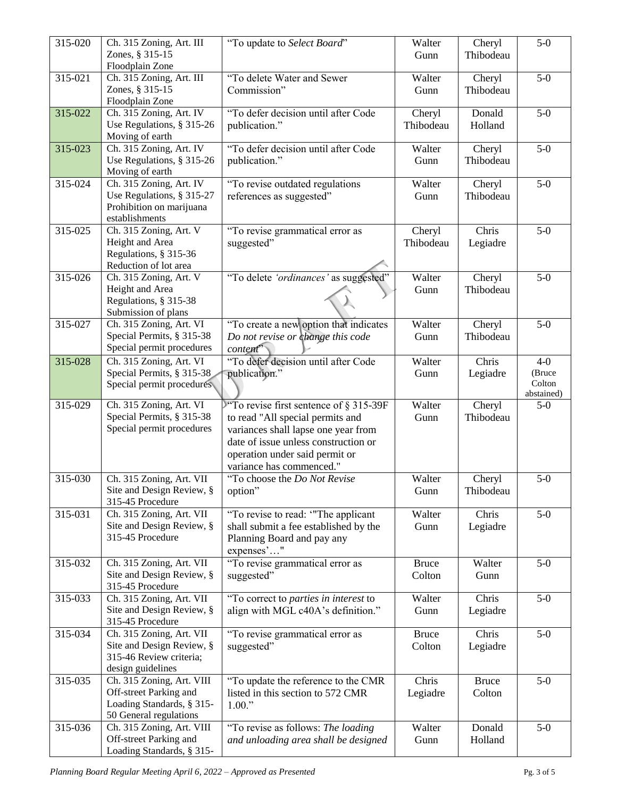| 315-020 | Ch. 315 Zoning, Art. III<br>Zones, § 315-15                                                                | "To update to Select Board"                                                                                                                                                                                               | Walter<br>Gunn         | Cheryl<br>Thibodeau    | $5-0$                                    |
|---------|------------------------------------------------------------------------------------------------------------|---------------------------------------------------------------------------------------------------------------------------------------------------------------------------------------------------------------------------|------------------------|------------------------|------------------------------------------|
|         | Floodplain Zone                                                                                            |                                                                                                                                                                                                                           |                        |                        |                                          |
| 315-021 | Ch. 315 Zoning, Art. III<br>Zones, § 315-15<br>Floodplain Zone                                             | "To delete Water and Sewer<br>Commission"                                                                                                                                                                                 | Walter<br>Gunn         | Cheryl<br>Thibodeau    | $5-0$                                    |
| 315-022 | Ch. 315 Zoning, Art. IV<br>Use Regulations, § 315-26<br>Moving of earth                                    | "To defer decision until after Code<br>publication."                                                                                                                                                                      | Cheryl<br>Thibodeau    | Donald<br>Holland      | $5-0$                                    |
| 315-023 | Ch. 315 Zoning, Art. IV<br>Use Regulations, § 315-26<br>Moving of earth                                    | "To defer decision until after Code<br>publication."                                                                                                                                                                      | Walter<br>Gunn         | Cheryl<br>Thibodeau    | $5-0$                                    |
| 315-024 | Ch. 315 Zoning, Art. IV<br>Use Regulations, § 315-27<br>Prohibition on marijuana<br>establishments         | "To revise outdated regulations<br>references as suggested"                                                                                                                                                               | Walter<br>Gunn         | Cheryl<br>Thibodeau    | $5-0$                                    |
| 315-025 | Ch. 315 Zoning, Art. V<br>Height and Area<br>Regulations, § 315-36<br>Reduction of lot area                | "To revise grammatical error as<br>suggested"                                                                                                                                                                             | Cheryl<br>Thibodeau    | Chris<br>Legiadre      | $5-0$                                    |
| 315-026 | Ch. 315 Zoning, Art. V<br>Height and Area<br>Regulations, § 315-38<br>Submission of plans                  | "To delete 'ordinances' as suggested"                                                                                                                                                                                     | Walter<br>Gunn         | Cheryl<br>Thibodeau    | $5-0$                                    |
| 315-027 | Ch. 315 Zoning, Art. VI<br>Special Permits, § 315-38<br>Special permit procedures                          | "To create a new option that indicates<br>Do not revise or change this code<br>content"                                                                                                                                   | Walter<br>Gunn         | Cheryl<br>Thibodeau    | $5-0$                                    |
| 315-028 | Ch. 315 Zoning, Art. VI<br>Special Permits, § 315-38<br>Special permit procedures                          | "To defer decision until after Code<br>publication."                                                                                                                                                                      | Walter<br>Gunn         | Chris<br>Legiadre      | $4-0$<br>(Bruce)<br>Colton<br>abstained) |
| 315-029 | Ch. 315 Zoning, Art. VI<br>Special Permits, § 315-38<br>Special permit procedures                          | To revise first sentence of $\S 315-39F$<br>to read "All special permits and<br>variances shall lapse one year from<br>date of issue unless construction or<br>operation under said permit or<br>variance has commenced." | Walter<br>Gunn         | Cheryl<br>Thibodeau    | $5-0$                                    |
| 315-030 | Ch. 315 Zoning, Art. VII<br>Site and Design Review, §<br>315-45 Procedure                                  | "To choose the Do Not Revise<br>option"                                                                                                                                                                                   | Walter<br>Gunn         | Cheryl<br>Thibodeau    | $5-0$                                    |
| 315-031 | Ch. 315 Zoning, Art. VII<br>Site and Design Review, §<br>315-45 Procedure                                  | "To revise to read: "The applicant<br>shall submit a fee established by the<br>Planning Board and pay any<br>expenses'"                                                                                                   | Walter<br>Gunn         | Chris<br>Legiadre      | $5-0$                                    |
| 315-032 | Ch. 315 Zoning, Art. VII<br>Site and Design Review, §<br>315-45 Procedure                                  | "To revise grammatical error as<br>suggested"                                                                                                                                                                             | <b>Bruce</b><br>Colton | Walter<br>Gunn         | $5-0$                                    |
| 315-033 | Ch. 315 Zoning, Art. VII<br>Site and Design Review, §<br>315-45 Procedure                                  | "To correct to <i>parties in interest</i> to<br>align with MGL c40A's definition."                                                                                                                                        | Walter<br>Gunn         | Chris<br>Legiadre      | $5-0$                                    |
| 315-034 | Ch. 315 Zoning, Art. VII<br>Site and Design Review, §<br>315-46 Review criteria;<br>design guidelines      | "To revise grammatical error as<br>suggested"                                                                                                                                                                             | <b>Bruce</b><br>Colton | Chris<br>Legiadre      | $5-0$                                    |
| 315-035 | Ch. 315 Zoning, Art. VIII<br>Off-street Parking and<br>Loading Standards, § 315-<br>50 General regulations | "To update the reference to the CMR<br>listed in this section to 572 CMR<br>1.00."                                                                                                                                        | Chris<br>Legiadre      | <b>Bruce</b><br>Colton | $5-0$                                    |
| 315-036 | Ch. 315 Zoning, Art. VIII<br>Off-street Parking and<br>Loading Standards, § 315-                           | "To revise as follows: The loading<br>and unloading area shall be designed                                                                                                                                                | Walter<br>Gunn         | Donald<br>Holland      | $5-0$                                    |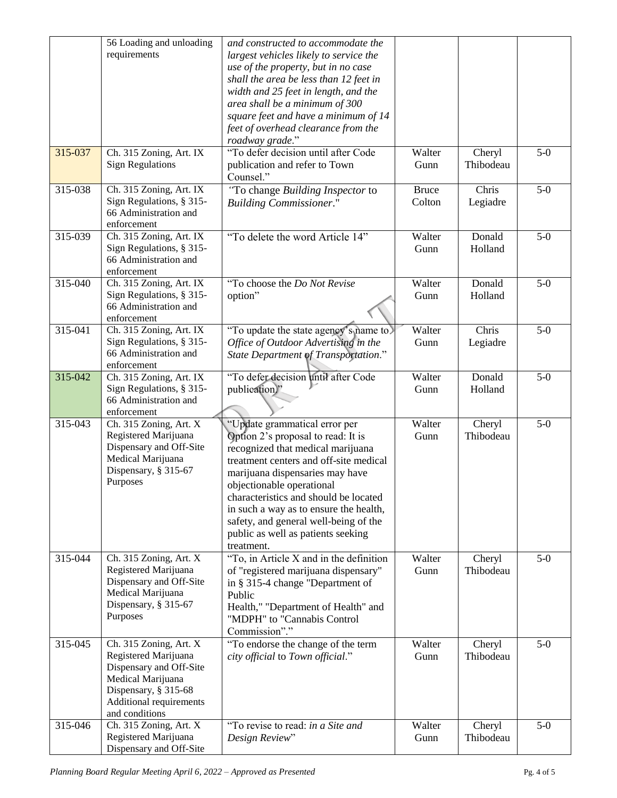|         | 56 Loading and unloading<br>requirements                                                                                                                            | and constructed to accommodate the<br>largest vehicles likely to service the<br>use of the property, but in no case<br>shall the area be less than 12 feet in<br>width and 25 feet in length, and the<br>area shall be a minimum of 300<br>square feet and have a minimum of 14<br>feet of overhead clearance from the<br>roadway grade."                                                          |                        |                     |       |
|---------|---------------------------------------------------------------------------------------------------------------------------------------------------------------------|----------------------------------------------------------------------------------------------------------------------------------------------------------------------------------------------------------------------------------------------------------------------------------------------------------------------------------------------------------------------------------------------------|------------------------|---------------------|-------|
| 315-037 | Ch. 315 Zoning, Art. IX<br><b>Sign Regulations</b>                                                                                                                  | "To defer decision until after Code<br>publication and refer to Town<br>Counsel."                                                                                                                                                                                                                                                                                                                  | Walter<br>Gunn         | Cheryl<br>Thibodeau | $5-0$ |
| 315-038 | Ch. 315 Zoning, Art. IX<br>Sign Regulations, § 315-<br>66 Administration and<br>enforcement                                                                         | "To change Building Inspector to<br><b>Building Commissioner."</b>                                                                                                                                                                                                                                                                                                                                 | <b>Bruce</b><br>Colton | Chris<br>Legiadre   | $5-0$ |
| 315-039 | Ch. 315 Zoning, Art. IX<br>Sign Regulations, § 315-<br>66 Administration and<br>enforcement                                                                         | "To delete the word Article 14"                                                                                                                                                                                                                                                                                                                                                                    | Walter<br>Gunn         | Donald<br>Holland   | $5-0$ |
| 315-040 | Ch. 315 Zoning, Art. IX<br>Sign Regulations, § 315-<br>66 Administration and<br>enforcement                                                                         | "To choose the Do Not Revise<br>option"                                                                                                                                                                                                                                                                                                                                                            | Walter<br>Gunn         | Donald<br>Holland   | $5-0$ |
| 315-041 | Ch. 315 Zoning, Art. IX<br>Sign Regulations, § 315-<br>66 Administration and<br>enforcement                                                                         | "To update the state agency's name to.<br>Office of Outdoor Advertising in the<br>State Department of Transportation."                                                                                                                                                                                                                                                                             | Walter<br>Gunn         | Chris<br>Legiadre   | $5-0$ |
| 315-042 | Ch. 315 Zoning, Art. IX<br>Sign Regulations, § 315-<br>66 Administration and<br>enforcement                                                                         | "To defer decision until after Code<br>publication."                                                                                                                                                                                                                                                                                                                                               | Walter<br>Gunn         | Donald<br>Holland   | $5-0$ |
| 315-043 | Ch. 315 Zoning, Art. X<br>Registered Marijuana<br>Dispensary and Off-Site<br>Medical Marijuana<br>Dispensary, § 315-67<br>Purposes                                  | "Update grammatical error per<br>Option 2's proposal to read: It is<br>recognized that medical marijuana<br>treatment centers and off-site medical<br>marijuana dispensaries may have<br>objectionable operational<br>characteristics and should be located<br>in such a way as to ensure the health,<br>safety, and general well-being of the<br>public as well as patients seeking<br>treatment. | Walter<br>Gunn         | Cheryl<br>Thibodeau | $5-0$ |
| 315-044 | Ch. 315 Zoning, Art. X<br>Registered Marijuana<br>Dispensary and Off-Site<br>Medical Marijuana<br>Dispensary, § 315-67<br>Purposes                                  | "To, in Article X and in the definition<br>of "registered marijuana dispensary"<br>in § 315-4 change "Department of<br>Public<br>Health," "Department of Health" and<br>"MDPH" to "Cannabis Control<br>Commission"."                                                                                                                                                                               | Walter<br>Gunn         | Cheryl<br>Thibodeau | $5-0$ |
| 315-045 | Ch. 315 Zoning, Art. X<br>Registered Marijuana<br>Dispensary and Off-Site<br>Medical Marijuana<br>Dispensary, § 315-68<br>Additional requirements<br>and conditions | "To endorse the change of the term<br>city official to Town official."                                                                                                                                                                                                                                                                                                                             | Walter<br>Gunn         | Cheryl<br>Thibodeau | $5-0$ |
| 315-046 | Ch. 315 Zoning, Art. X<br>Registered Marijuana<br>Dispensary and Off-Site                                                                                           | "To revise to read: in a Site and<br>Design Review"                                                                                                                                                                                                                                                                                                                                                | Walter<br>Gunn         | Cheryl<br>Thibodeau | $5-0$ |